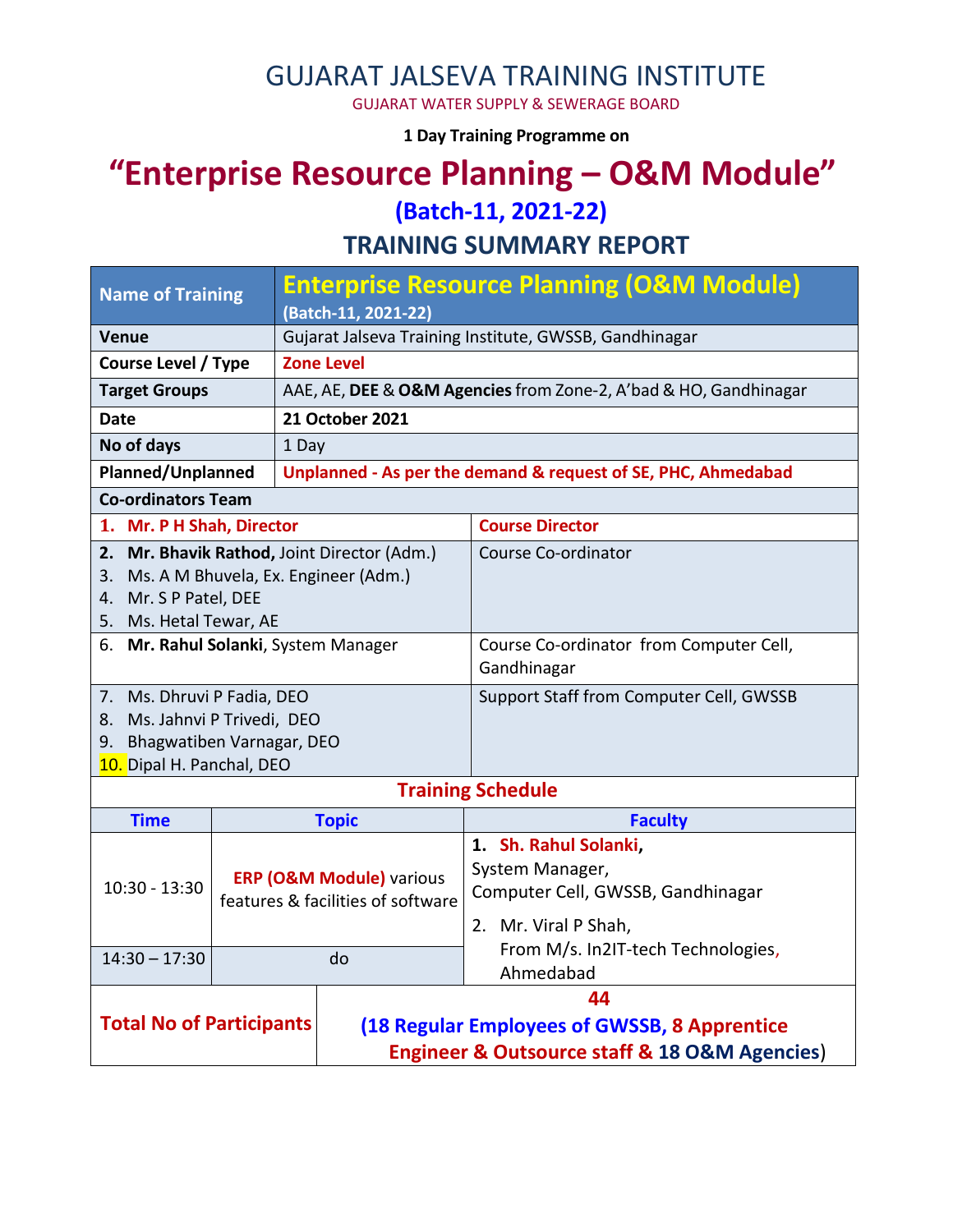# GUJARAT JALSEVA TRAINING INSTITUTE

GUJARAT WATER SUPPLY & SEWERAGE BOARD

**1 Day Training Programme on** 

# **"Enterprise Resource Planning – O&M Module"**

**(Batch-11, 2021-22)**

**TRAINING SUMMARY REPORT**

| <b>Name of Training</b>                         |                                                                          | <b>Enterprise Resource Planning (O&amp;M Module)</b><br>(Batch-11, 2021-22) |                                                      |  |  |
|-------------------------------------------------|--------------------------------------------------------------------------|-----------------------------------------------------------------------------|------------------------------------------------------|--|--|
| <b>Venue</b>                                    |                                                                          | Gujarat Jalseva Training Institute, GWSSB, Gandhinagar                      |                                                      |  |  |
| <b>Course Level / Type</b>                      |                                                                          | <b>Zone Level</b>                                                           |                                                      |  |  |
| <b>Target Groups</b>                            |                                                                          | AAE, AE, DEE & O&M Agencies from Zone-2, A'bad & HO, Gandhinagar            |                                                      |  |  |
| Date                                            |                                                                          | 21 October 2021                                                             |                                                      |  |  |
| No of days                                      |                                                                          | 1 Day                                                                       |                                                      |  |  |
| Planned/Unplanned                               |                                                                          | Unplanned - As per the demand & request of SE, PHC, Ahmedabad               |                                                      |  |  |
| <b>Co-ordinators Team</b>                       |                                                                          |                                                                             |                                                      |  |  |
| 1. Mr. P H Shah, Director                       |                                                                          |                                                                             | <b>Course Director</b>                               |  |  |
| 2. Mr. Bhavik Rathod, Joint Director (Adm.)     |                                                                          |                                                                             | Course Co-ordinator                                  |  |  |
| 3. Ms. A M Bhuvela, Ex. Engineer (Adm.)         |                                                                          |                                                                             |                                                      |  |  |
| 4. Mr. S P Patel, DEE<br>5. Ms. Hetal Tewar, AE |                                                                          |                                                                             |                                                      |  |  |
| 6. Mr. Rahul Solanki, System Manager            |                                                                          |                                                                             | Course Co-ordinator from Computer Cell,              |  |  |
|                                                 |                                                                          |                                                                             | Gandhinagar                                          |  |  |
| 7. Ms. Dhruvi P Fadia, DEO                      |                                                                          |                                                                             | Support Staff from Computer Cell, GWSSB              |  |  |
| 8. Ms. Jahnvi P Trivedi, DEO                    |                                                                          |                                                                             |                                                      |  |  |
| 9. Bhagwatiben Varnagar, DEO                    |                                                                          |                                                                             |                                                      |  |  |
| 10. Dipal H. Panchal, DEO                       |                                                                          |                                                                             |                                                      |  |  |
|                                                 |                                                                          |                                                                             | <b>Training Schedule</b>                             |  |  |
| <b>Time</b>                                     |                                                                          | <b>Topic</b>                                                                | <b>Faculty</b>                                       |  |  |
|                                                 | <b>ERP (O&amp;M Module)</b> various<br>features & facilities of software |                                                                             | 1. Sh. Rahul Solanki,                                |  |  |
| $10:30 - 13:30$                                 |                                                                          |                                                                             | System Manager,<br>Computer Cell, GWSSB, Gandhinagar |  |  |
|                                                 |                                                                          |                                                                             |                                                      |  |  |
|                                                 |                                                                          |                                                                             | 2. Mr. Viral P Shah,                                 |  |  |
| $14:30 - 17:30$<br>do                           |                                                                          |                                                                             | From M/s. In2IT-tech Technologies,<br>Ahmedabad      |  |  |
|                                                 |                                                                          | 44                                                                          |                                                      |  |  |
| <b>Total No of Participants</b>                 |                                                                          | (18 Regular Employees of GWSSB, 8 Apprentice                                |                                                      |  |  |
|                                                 |                                                                          | <b>Engineer &amp; Outsource staff &amp; 18 O&amp;M Agencies)</b>            |                                                      |  |  |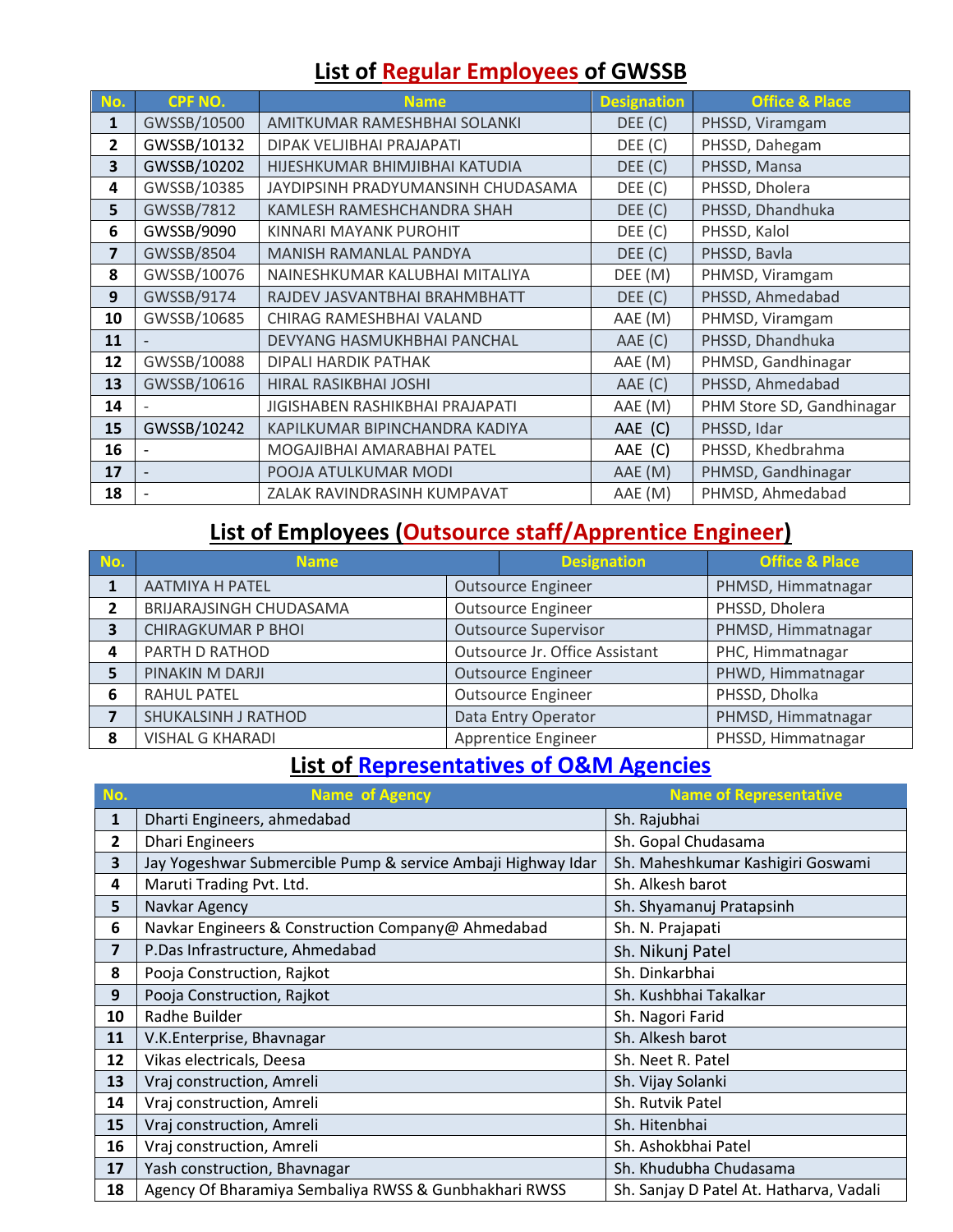# **List of Regular Employees of GWSSB**

| No.            | <b>CPF NO.</b> | <b>Name</b>                        | <b>Designation</b> | <b>Office &amp; Place</b> |
|----------------|----------------|------------------------------------|--------------------|---------------------------|
| 1              | GWSSB/10500    | AMITKUMAR RAMESHBHAI SOLANKI       | DEE (C)            | PHSSD, Viramgam           |
| $\overline{2}$ | GWSSB/10132    | DIPAK VELJIBHAI PRAJAPATI          | DEE (C)            | PHSSD, Dahegam            |
| 3              | GWSSB/10202    | HIJESHKUMAR BHIMJIBHAI KATUDIA     | DEE (C)            | PHSSD, Mansa              |
| 4              | GWSSB/10385    | JAYDIPSINH PRADYUMANSINH CHUDASAMA | DEE (C)            | PHSSD, Dholera            |
| 5              | GWSSB/7812     | KAMLESH RAMESHCHANDRA SHAH         | DEE (C)            | PHSSD, Dhandhuka          |
| 6              | GWSSB/9090     | KINNARI MAYANK PUROHIT             | DEF(C)             | PHSSD, Kalol              |
| 7              | GWSSB/8504     | MANISH RAMANLAL PANDYA             | DEE (C)            | PHSSD, Bavla              |
| 8              | GWSSB/10076    | NAINESHKUMAR KALUBHAI MITALIYA     | DEE (M)            | PHMSD, Viramgam           |
| 9              | GWSSB/9174     | RAJDEV JASVANTBHAI BRAHMBHATT      | DEE (C)            | PHSSD, Ahmedabad          |
| 10             | GWSSB/10685    | CHIRAG RAMESHBHAI VALAND           | AAE (M)            | PHMSD, Viramgam           |
| 11             |                | DEVYANG HASMUKHBHAI PANCHAL        | AAE (C)            | PHSSD, Dhandhuka          |
| 12             | GWSSB/10088    | DIPALI HARDIK PATHAK               | AAE (M)            | PHMSD, Gandhinagar        |
| 13             | GWSSB/10616    | HIRAL RASIKBHAI JOSHI              | AAE (C)            | PHSSD, Ahmedabad          |
| 14             |                | JIGISHABEN RASHIKBHAI PRAJAPATI    | AAE (M)            | PHM Store SD, Gandhinagar |
| 15             | GWSSB/10242    | KAPILKUMAR BIPINCHANDRA KADIYA     | AAE (C)            | PHSSD, Idar               |
| 16             |                | MOGAJIBHAI AMARABHAI PATEL         | AAE (C)            | PHSSD, Khedbrahma         |
| 17             |                | POOJA ATULKUMAR MODI               | AAE (M)            | PHMSD, Gandhinagar        |
| 18             |                | ZALAK RAVINDRASINH KUMPAVAT        | AAE (M)            | PHMSD, Ahmedabad          |

### **List of Employees (Outsource staff/Apprentice Engineer)**

| No. | <b>Name</b>               |                                | <b>Designation</b>        | <b>Office &amp; Place</b> |
|-----|---------------------------|--------------------------------|---------------------------|---------------------------|
|     | <b>AATMIYA H PATEL</b>    | <b>Outsource Engineer</b>      |                           | PHMSD, Himmatnagar        |
|     | BRIJARAJSINGH CHUDASAMA   | <b>Outsource Engineer</b>      |                           | PHSSD, Dholera            |
|     | <b>CHIRAGKUMAR P BHOI</b> | <b>Outsource Supervisor</b>    |                           | PHMSD, Himmatnagar        |
| Δ   | PARTH D RATHOD            | Outsource Jr. Office Assistant |                           | PHC, Himmatnagar          |
|     | PINAKIN M DARJI           | <b>Outsource Engineer</b>      |                           | PHWD, Himmatnagar         |
| 6   | <b>RAHUL PATEL</b>        |                                | <b>Outsource Engineer</b> | PHSSD, Dholka             |
|     | SHUKALSINH J RATHOD       |                                | Data Entry Operator       | PHMSD, Himmatnagar        |
| Զ   | <b>VISHAL G KHARADI</b>   |                                | Apprentice Engineer       | PHSSD, Himmatnagar        |

# **List of Representatives of O&M Agencies**

| No. | <b>Name of Agency</b>                                        | <b>Name of Representative</b>           |  |
|-----|--------------------------------------------------------------|-----------------------------------------|--|
| 1   | Dharti Engineers, ahmedabad                                  | Sh. Rajubhai                            |  |
| 2   | <b>Dhari Engineers</b>                                       | Sh. Gopal Chudasama                     |  |
| 3   | Jay Yogeshwar Submercible Pump & service Ambaji Highway Idar | Sh. Maheshkumar Kashigiri Goswami       |  |
| 4   | Maruti Trading Pvt. Ltd.                                     | Sh. Alkesh barot                        |  |
| 5   | Navkar Agency                                                | Sh. Shyamanuj Pratapsinh                |  |
| 6   | Navkar Engineers & Construction Company@ Ahmedabad           | Sh. N. Prajapati                        |  |
| 7   | P.Das Infrastructure, Ahmedabad                              | Sh. Nikunj Patel                        |  |
| 8   | Pooja Construction, Rajkot                                   | Sh. Dinkarbhai                          |  |
| 9   | Pooja Construction, Rajkot                                   | Sh. Kushbhai Takalkar                   |  |
| 10  | Radhe Builder                                                | Sh. Nagori Farid                        |  |
| 11  | V.K.Enterprise, Bhavnagar                                    | Sh. Alkesh barot                        |  |
| 12  | Vikas electricals, Deesa                                     | Sh. Neet R. Patel                       |  |
| 13  | Vraj construction, Amreli                                    | Sh. Vijay Solanki                       |  |
| 14  | Vraj construction, Amreli                                    | Sh. Rutvik Patel                        |  |
| 15  | Vraj construction, Amreli                                    | Sh. Hitenbhai                           |  |
| 16  | Vraj construction, Amreli                                    | Sh. Ashokbhai Patel                     |  |
| 17  | Yash construction, Bhavnagar                                 | Sh. Khudubha Chudasama                  |  |
| 18  | Agency Of Bharamiya Sembaliya RWSS & Gunbhakhari RWSS        | Sh. Sanjay D Patel At. Hatharva, Vadali |  |